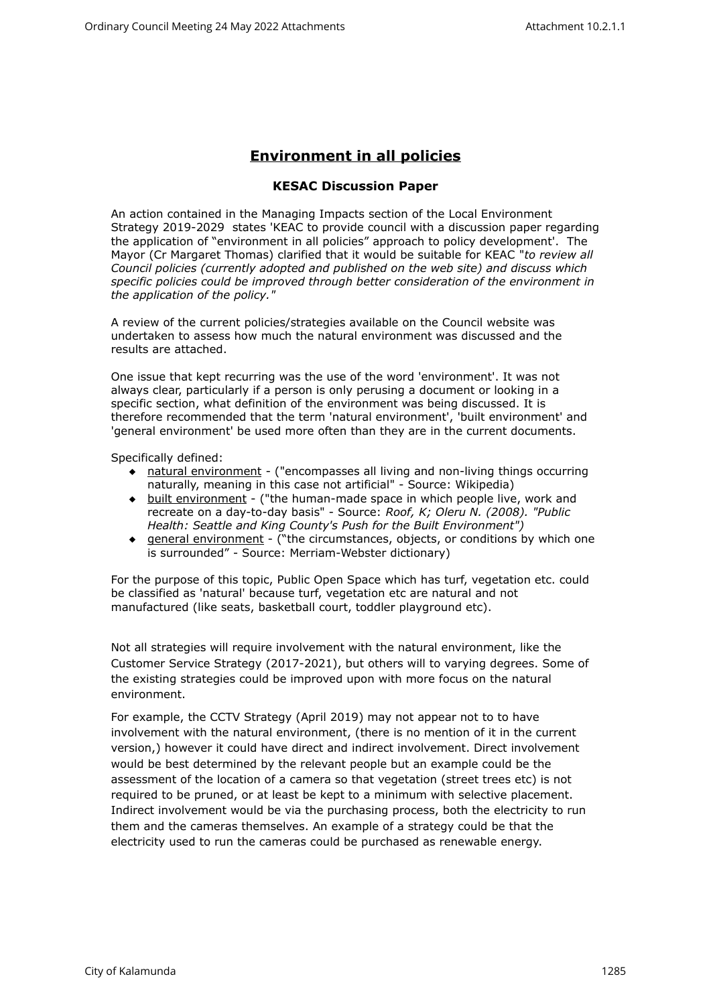## **Environment in all policies**

## **KESAC Discussion Paper**

An action contained in the Managing Impacts section of the Local Environment Strategy 2019-2029 states 'KEAC to provide council with a discussion paper regarding the application of "environment in all policies" approach to policy development'. The Mayor (Cr Margaret Thomas) clarified that it would be suitable for KEAC "*to review all Council policies (currently adopted and published on the web site) and discuss which specific policies could be improved through better consideration of the environment in the application of the policy."*

A review of the current policies/strategies available on the Council website was undertaken to assess how much the natural environment was discussed and the results are attached.

One issue that kept recurring was the use of the word 'environment'. It was not always clear, particularly if a person is only perusing a document or looking in a specific section, what definition of the environment was being discussed. It is therefore recommended that the term 'natural environment', 'built environment' and 'general environment' be used more often than they are in the current documents.

Specifically defined:

- natural environment ("encompasses all living and non-living things occurring naturally, meaning in this case not artificial" - Source: Wikipedia)
- built environment ("the human-made space in which people live, work and recreate on a day-to-day basis" - Source: *Roof, K; Oleru N. (2008). "Public Health: Seattle and King County's Push for the Built Environment")*
- general environment ("the circumstances, objects, or conditions by which one is surrounded" - Source: Merriam-Webster dictionary)

For the purpose of this topic, Public Open Space which has turf, vegetation etc. could be classified as 'natural' because turf, vegetation etc are natural and not manufactured (like seats, basketball court, toddler playground etc).

Not all strategies will require involvement with the natural environment, like the Customer Service Strategy (2017-2021), but others will to varying degrees. Some of the existing strategies could be improved upon with more focus on the natural environment.

For example, the CCTV Strategy (April 2019) may not appear not to to have involvement with the natural environment, (there is no mention of it in the current version,) however it could have direct and indirect involvement. Direct involvement would be best determined by the relevant people but an example could be the assessment of the location of a camera so that vegetation (street trees etc) is not required to be pruned, or at least be kept to a minimum with selective placement. Indirect involvement would be via the purchasing process, both the electricity to run them and the cameras themselves. An example of a strategy could be that the electricity used to run the cameras could be purchased as renewable energy.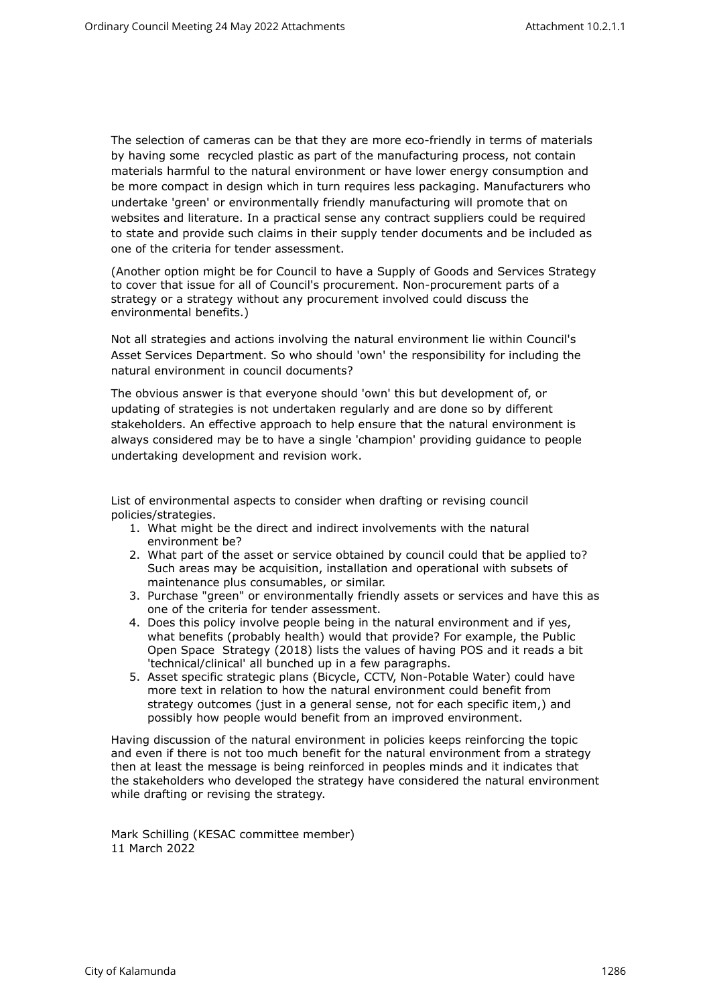The selection of cameras can be that they are more eco-friendly in terms of materials by having some recycled plastic as part of the manufacturing process, not contain materials harmful to the natural environment or have lower energy consumption and be more compact in design which in turn requires less packaging. Manufacturers who undertake 'green' or environmentally friendly manufacturing will promote that on websites and literature. In a practical sense any contract suppliers could be required to state and provide such claims in their supply tender documents and be included as one of the criteria for tender assessment.

(Another option might be for Council to have a Supply of Goods and Services Strategy to cover that issue for all of Council's procurement. Non-procurement parts of a strategy or a strategy without any procurement involved could discuss the environmental benefits.)

Not all strategies and actions involving the natural environment lie within Council's Asset Services Department. So who should 'own' the responsibility for including the natural environment in council documents?

The obvious answer is that everyone should 'own' this but development of, or updating of strategies is not undertaken regularly and are done so by different stakeholders. An effective approach to help ensure that the natural environment is always considered may be to have a single 'champion' providing guidance to people undertaking development and revision work.

List of environmental aspects to consider when drafting or revising council policies/strategies.

- 1. What might be the direct and indirect involvements with the natural environment be?
- 2. What part of the asset or service obtained by council could that be applied to? Such areas may be acquisition, installation and operational with subsets of maintenance plus consumables, or similar.
- 3. Purchase "green" or environmentally friendly assets or services and have this as one of the criteria for tender assessment.
- 4. Does this policy involve people being in the natural environment and if yes, what benefits (probably health) would that provide? For example, the Public Open Space Strategy (2018) lists the values of having POS and it reads a bit 'technical/clinical' all bunched up in a few paragraphs.
- 5. Asset specific strategic plans (Bicycle, CCTV, Non-Potable Water) could have more text in relation to how the natural environment could benefit from strategy outcomes (just in a general sense, not for each specific item,) and possibly how people would benefit from an improved environment.

Having discussion of the natural environment in policies keeps reinforcing the topic and even if there is not too much benefit for the natural environment from a strategy then at least the message is being reinforced in peoples minds and it indicates that the stakeholders who developed the strategy have considered the natural environment while drafting or revising the strategy.

Mark Schilling (KESAC committee member) 11 March 2022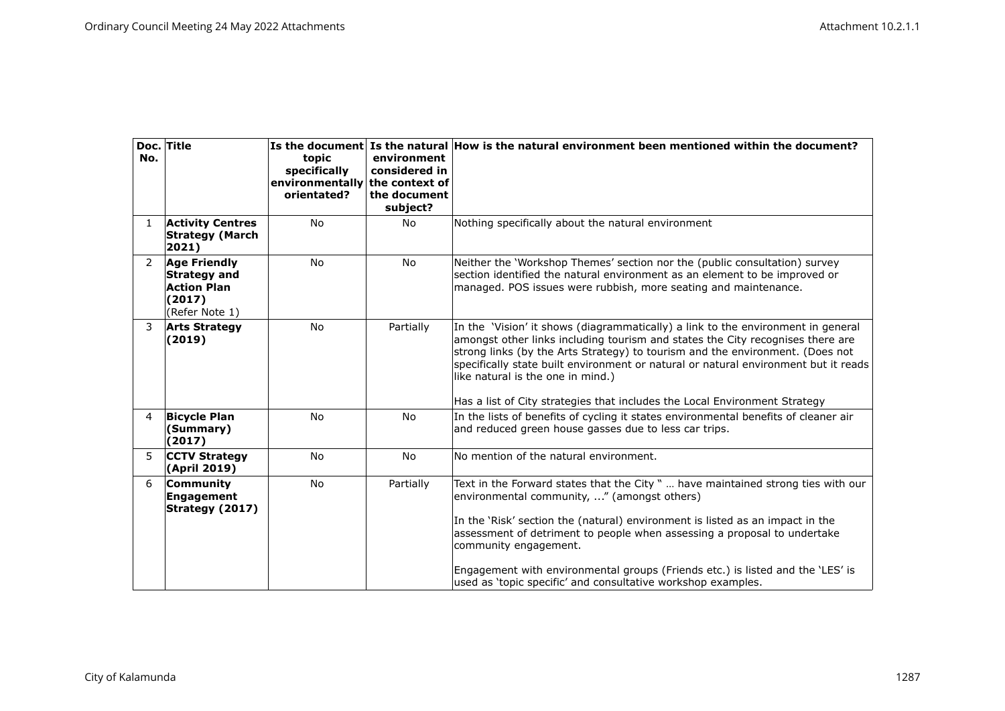| No.            | Doc. Title                                                                                   | topic<br>specifically<br>environmentally the context of<br>orientated? | environment<br>considered in<br>the document<br>subject? | Is the document Is the natural How is the natural environment been mentioned within the document?                                                                                                                                                                                                                                                                                                                                                                       |
|----------------|----------------------------------------------------------------------------------------------|------------------------------------------------------------------------|----------------------------------------------------------|-------------------------------------------------------------------------------------------------------------------------------------------------------------------------------------------------------------------------------------------------------------------------------------------------------------------------------------------------------------------------------------------------------------------------------------------------------------------------|
| 1              | <b>Activity Centres</b><br><b>Strategy (March</b><br>2021)                                   | <b>No</b>                                                              | <b>No</b>                                                | Nothing specifically about the natural environment                                                                                                                                                                                                                                                                                                                                                                                                                      |
| $\overline{2}$ | <b>Age Friendly</b><br><b>Strategy and</b><br><b>Action Plan</b><br>(2017)<br>(Refer Note 1) | <b>No</b>                                                              | <b>No</b>                                                | Neither the 'Workshop Themes' section nor the (public consultation) survey<br>section identified the natural environment as an element to be improved or<br>managed. POS issues were rubbish, more seating and maintenance.                                                                                                                                                                                                                                             |
| 3              | <b>Arts Strategy</b><br>(2019)                                                               | <b>No</b>                                                              | Partially                                                | In the 'Vision' it shows (diagrammatically) a link to the environment in general<br>amongst other links including tourism and states the City recognises there are<br>strong links (by the Arts Strategy) to tourism and the environment. (Does not<br>specifically state built environment or natural or natural environment but it reads<br>like natural is the one in mind.)<br>Has a list of City strategies that includes the Local Environment Strategy           |
| $\overline{4}$ | <b>Bicycle Plan</b><br>(Summary)<br>(2017)                                                   | <b>No</b>                                                              | <b>No</b>                                                | In the lists of benefits of cycling it states environmental benefits of cleaner air<br>and reduced green house gasses due to less car trips.                                                                                                                                                                                                                                                                                                                            |
| 5.             | <b>CCTV Strategy</b><br>(April 2019)                                                         | <b>No</b>                                                              | <b>No</b>                                                | No mention of the natural environment.                                                                                                                                                                                                                                                                                                                                                                                                                                  |
| 6              | Community<br>Engagement<br>Strategy (2017)                                                   | <b>No</b>                                                              | Partially                                                | Text in the Forward states that the City "  have maintained strong ties with our<br>environmental community, " (amongst others)<br>In the 'Risk' section the (natural) environment is listed as an impact in the<br>assessment of detriment to people when assessing a proposal to undertake<br>community engagement.<br>Engagement with environmental groups (Friends etc.) is listed and the 'LES' is<br>used as 'topic specific' and consultative workshop examples. |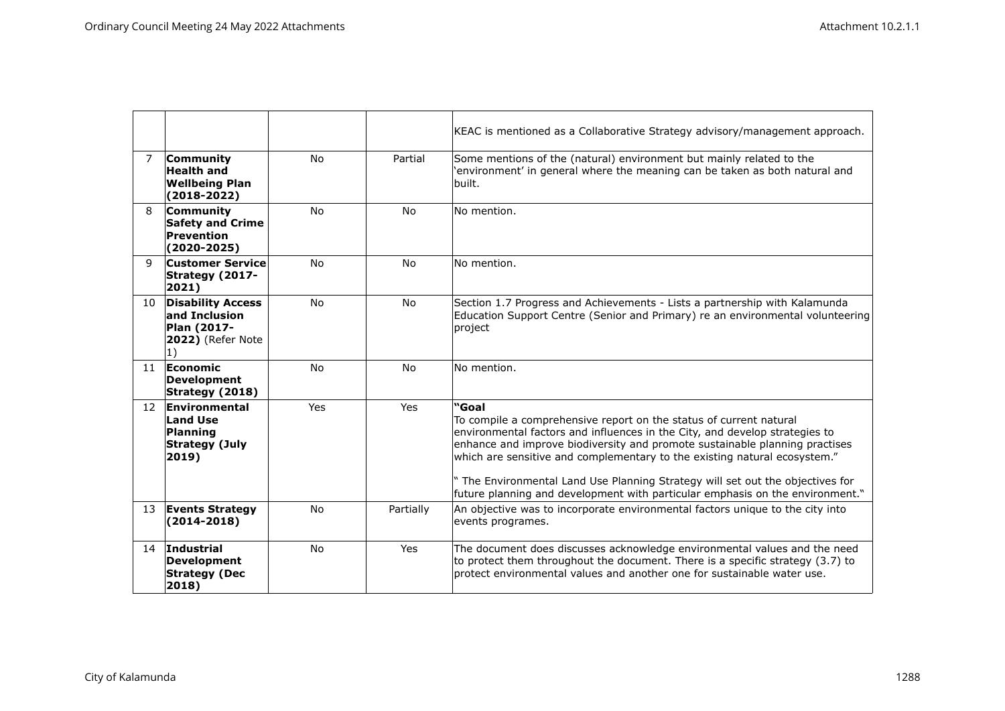|                 |                                                                                              |           |           | KEAC is mentioned as a Collaborative Strategy advisory/management approach.                                                                                                                                                                                                                                                                                                                                                                                                               |
|-----------------|----------------------------------------------------------------------------------------------|-----------|-----------|-------------------------------------------------------------------------------------------------------------------------------------------------------------------------------------------------------------------------------------------------------------------------------------------------------------------------------------------------------------------------------------------------------------------------------------------------------------------------------------------|
| $\overline{7}$  | Community<br><b>Health and</b><br><b>Wellbeing Plan</b><br>$(2018 - 2022)$                   | <b>No</b> | Partial   | Some mentions of the (natural) environment but mainly related to the<br>'environment' in general where the meaning can be taken as both natural and<br>built.                                                                                                                                                                                                                                                                                                                             |
| 8               | Community<br><b>Safety and Crime</b><br><b>Prevention</b><br>$(2020 - 2025)$                 | <b>No</b> | <b>No</b> | No mention.                                                                                                                                                                                                                                                                                                                                                                                                                                                                               |
| $\mathbf{q}$    | <b>Customer Service</b><br><b>Strategy (2017-</b><br>2021)                                   | <b>No</b> | <b>No</b> | No mention.                                                                                                                                                                                                                                                                                                                                                                                                                                                                               |
| 10 <sup>°</sup> | <b>Disability Access</b><br>and Inclusion<br>Plan (2017-<br>2022) (Refer Note<br>$ 1\rangle$ | No        | No        | Section 1.7 Progress and Achievements - Lists a partnership with Kalamunda<br>Education Support Centre (Senior and Primary) re an environmental volunteering<br>project                                                                                                                                                                                                                                                                                                                   |
| 11              | Economic<br><b>Development</b><br>Strategy (2018)                                            | <b>No</b> | <b>No</b> | No mention.                                                                                                                                                                                                                                                                                                                                                                                                                                                                               |
| 12              | Environmental<br><b>Land Use</b><br><b>Planning</b><br><b>Strategy (July</b><br>2019)        | Yes       | Yes       | "Goal<br>To compile a comprehensive report on the status of current natural<br>environmental factors and influences in the City, and develop strategies to<br>enhance and improve biodiversity and promote sustainable planning practises<br>which are sensitive and complementary to the existing natural ecosystem."<br>" The Environmental Land Use Planning Strategy will set out the objectives for<br>future planning and development with particular emphasis on the environment." |
| 13              | <b>Events Strategy</b><br>$(2014 - 2018)$                                                    | <b>No</b> | Partially | An objective was to incorporate environmental factors unique to the city into<br>events programes.                                                                                                                                                                                                                                                                                                                                                                                        |
| 14              | Industrial<br><b>Development</b><br><b>Strategy (Dec</b><br>2018)                            | <b>No</b> | Yes       | The document does discusses acknowledge environmental values and the need<br>to protect them throughout the document. There is a specific strategy (3.7) to<br>protect environmental values and another one for sustainable water use.                                                                                                                                                                                                                                                    |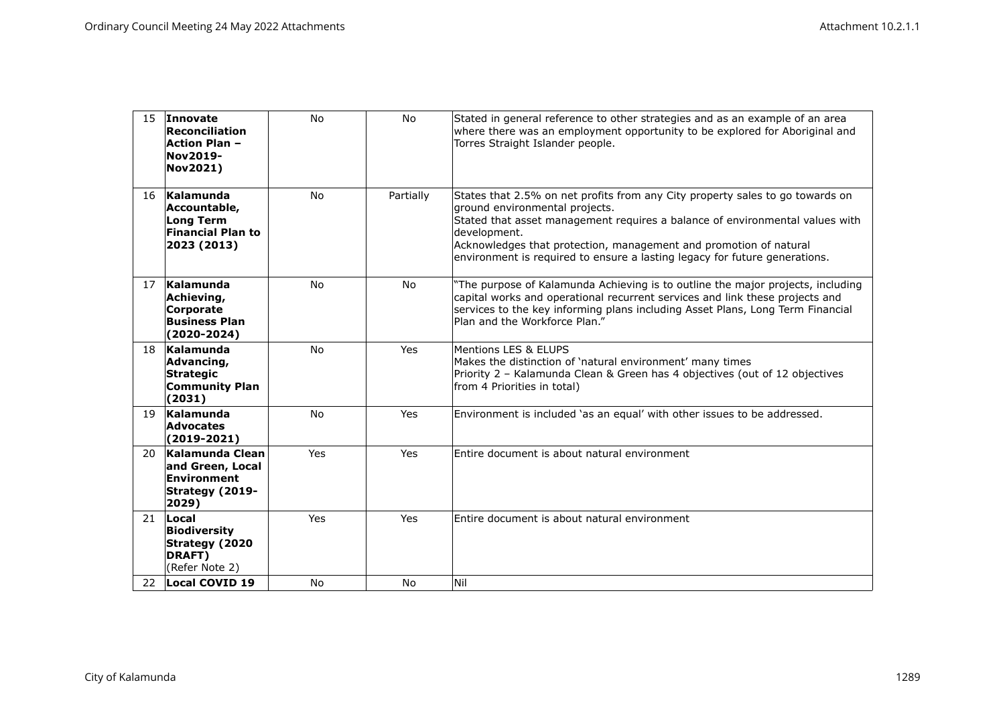| 15  | Innovate<br>Reconciliation<br>Action Plan -<br><b>Nov2019-</b><br>Nov2021)               | <b>No</b>  | <b>No</b> | Stated in general reference to other strategies and as an example of an area<br>where there was an employment opportunity to be explored for Aboriginal and<br>Torres Straight Islander people.                                                                                                                                                                    |
|-----|------------------------------------------------------------------------------------------|------------|-----------|--------------------------------------------------------------------------------------------------------------------------------------------------------------------------------------------------------------------------------------------------------------------------------------------------------------------------------------------------------------------|
| 16  | Kalamunda<br>Accountable,<br><b>Long Term</b><br><b>Financial Plan to</b><br>2023 (2013) | <b>No</b>  | Partially | States that 2.5% on net profits from any City property sales to go towards on<br>ground environmental projects.<br>Stated that asset management requires a balance of environmental values with<br>development.<br>Acknowledges that protection, management and promotion of natural<br>environment is required to ensure a lasting legacy for future generations. |
| 17  | Kalamunda<br>Achieving,<br><b>Corporate</b><br><b>Business Plan</b><br>$(2020 - 2024)$   | <b>No</b>  | <b>No</b> | "The purpose of Kalamunda Achieving is to outline the major projects, including<br>capital works and operational recurrent services and link these projects and<br>services to the key informing plans including Asset Plans, Long Term Financial<br>Plan and the Workforce Plan."                                                                                 |
| 18  | Kalamunda<br>Advancing,<br><b>Strategic</b><br><b>Community Plan</b><br>(2031)           | <b>No</b>  | Yes       | Mentions LES & ELUPS<br>Makes the distinction of 'natural environment' many times<br>Priority 2 - Kalamunda Clean & Green has 4 objectives (out of 12 objectives<br>from 4 Priorities in total)                                                                                                                                                                    |
| 19  | Kalamunda<br><b>Advocates</b><br>$(2019-2021)$                                           | <b>No</b>  | Yes       | Environment is included 'as an equal' with other issues to be addressed.                                                                                                                                                                                                                                                                                           |
| 20. | Kalamunda Clean<br>and Green, Local<br>Environment<br>Strategy (2019-<br>2029)           | <b>Yes</b> | Yes       | Entire document is about natural environment                                                                                                                                                                                                                                                                                                                       |
| 21  | Local<br><b>Biodiversity</b><br><b>Strategy (2020</b><br>DRAFT)<br>(Refer Note 2)        | Yes        | Yes       | Entire document is about natural environment                                                                                                                                                                                                                                                                                                                       |
| 22  | Local COVID 19                                                                           | <b>No</b>  | <b>No</b> | Nil                                                                                                                                                                                                                                                                                                                                                                |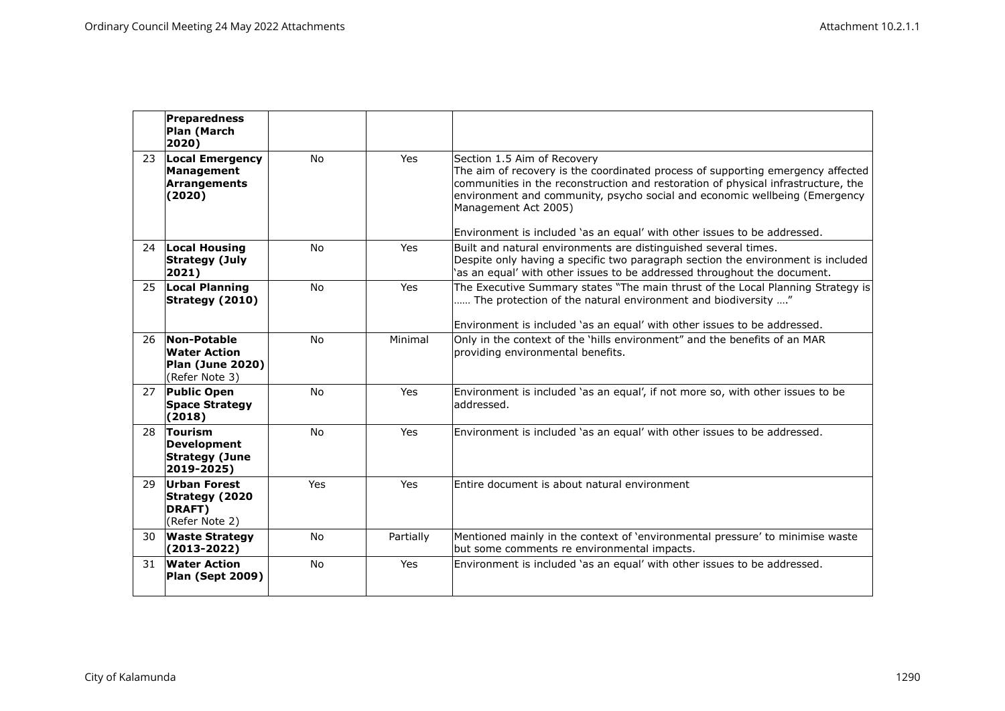|    | Preparedness<br>Plan (March<br>2020)                                            |           |           |                                                                                                                                                                                                                                                                                                                                                                                       |
|----|---------------------------------------------------------------------------------|-----------|-----------|---------------------------------------------------------------------------------------------------------------------------------------------------------------------------------------------------------------------------------------------------------------------------------------------------------------------------------------------------------------------------------------|
| 23 | Local Emergency<br>Management<br>Arrangements<br>(2020)                         | <b>No</b> | Yes       | Section 1.5 Aim of Recovery<br>The aim of recovery is the coordinated process of supporting emergency affected<br>communities in the reconstruction and restoration of physical infrastructure, the<br>environment and community, psycho social and economic wellbeing (Emergency<br>Management Act 2005)<br>Environment is included 'as an equal' with other issues to be addressed. |
| 24 | Local Housing<br>Strategy (July<br>$ 2021\rangle$                               | <b>No</b> | Yes       | Built and natural environments are distinguished several times.<br>Despite only having a specific two paragraph section the environment is included<br>'as an equal' with other issues to be addressed throughout the document.                                                                                                                                                       |
| 25 | <b>Local Planning</b><br>Strategy (2010)                                        | <b>No</b> | Yes       | The Executive Summary states "The main thrust of the Local Planning Strategy is<br>The protection of the natural environment and biodiversity "<br>Environment is included 'as an equal' with other issues to be addressed.                                                                                                                                                           |
| 26 | Non-Potable<br><b>Water Action</b><br><b>Plan (June 2020)</b><br>(Refer Note 3) | <b>No</b> | Minimal   | Only in the context of the 'hills environment" and the benefits of an MAR<br>providing environmental benefits.                                                                                                                                                                                                                                                                        |
|    | 27 Public Open<br><b>Space Strategy</b><br>(2018)                               | <b>No</b> | Yes       | Environment is included 'as an equal', if not more so, with other issues to be<br>laddressed.                                                                                                                                                                                                                                                                                         |
| 28 | Tourism<br>Development<br><b>Strategy (June</b><br>2019-2025)                   | <b>No</b> | Yes       | Environment is included 'as an equal' with other issues to be addressed.                                                                                                                                                                                                                                                                                                              |
| 29 | Urban Forest<br>Strategy (2020<br>DRAFT)<br>(Refer Note 2)                      | Yes       | Yes       | Entire document is about natural environment                                                                                                                                                                                                                                                                                                                                          |
| 30 | <b>Waste Strategy</b><br>$(2013 - 2022)$                                        | No        | Partially | Mentioned mainly in the context of 'environmental pressure' to minimise waste<br>but some comments re environmental impacts.                                                                                                                                                                                                                                                          |
| 31 | <b>Water Action</b><br>Plan (Sept 2009)                                         | <b>No</b> | Yes       | Environment is included 'as an equal' with other issues to be addressed.                                                                                                                                                                                                                                                                                                              |